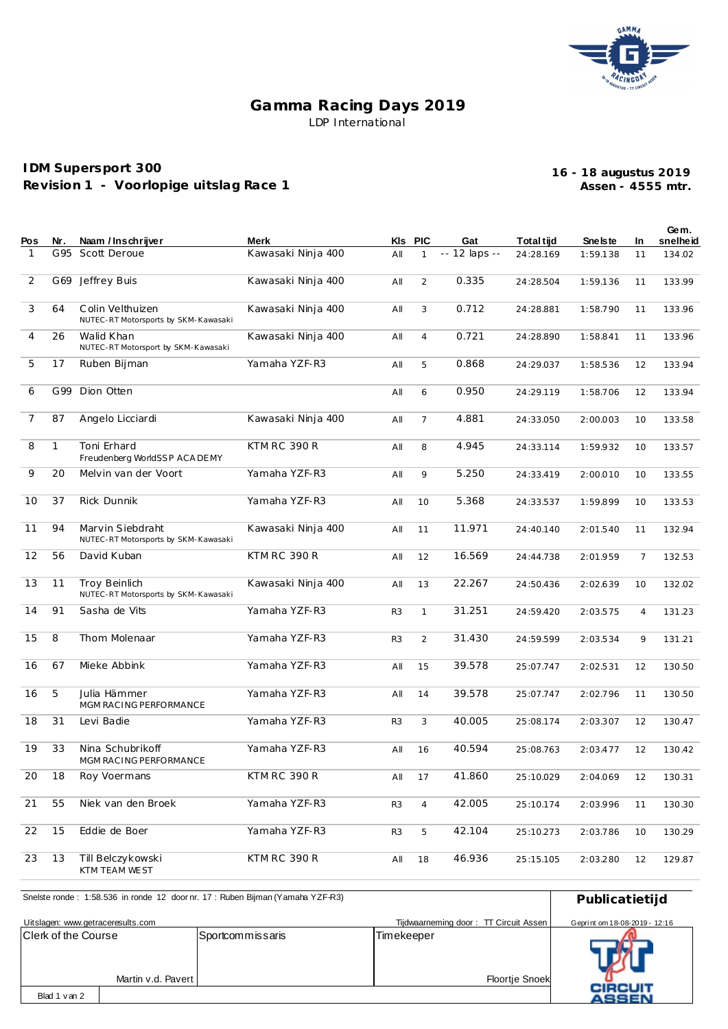

## **Gamma Racing Days 2019** LDP International

## **IDM Supersport 300 Revision 1 - Voorlopige uitslag Race 1**

**Assen - 4555 mtr. 16 - 18 augustus 2019**

|     |              |                                                              |                     |                |                |               |                   |           |                | Gem.     |
|-----|--------------|--------------------------------------------------------------|---------------------|----------------|----------------|---------------|-------------------|-----------|----------------|----------|
| Pos | Nr.          | Naam / Inschrijver                                           | Merk                |                | KIs PIC        | Gat           | <b>Total tijd</b> | Sne Is te | In.            | snelheid |
| 1   | G 95         | Scott Deroue                                                 | Kawasaki Ninja 400  | All            | $\mathbf{1}$   | -- 12 laps -- | 24:28.169         | 1:59.138  | 11             | 134.02   |
| 2   | G69          | Jeffrey Buis                                                 | Kawasaki Ninja 400  | All            | 2              | 0.335         | 24:28.504         | 1:59.136  | 11             | 133.99   |
| 3   | 64           | Colin Velthuizen<br>NUTEC-RT Motorsports by SKM-Kawasaki     | Kawasaki Ninja 400  | All            | 3              | 0.712         | 24:28.881         | 1:58.790  | 11             | 133.96   |
| 4   | 26           | Walid Khan<br>NUTEC-RT Motorsport by SKM-Kawasaki            | Kawasaki Ninja 400  | All            | $\overline{4}$ | 0.721         | 24:28.890         | 1:58.841  | 11             | 133.96   |
| 5   | 17           | Ruben Bijman                                                 | Yamaha YZF-R3       | All            | 5              | 0.868         | 24:29.037         | 1:58.536  | 12             | 133.94   |
| 6   | G99          | Dion Otten                                                   |                     | All            | 6              | 0.950         | 24:29.119         | 1:58.706  | 12             | 133.94   |
| 7   | 87           | Angelo Licciardi                                             | Kawasaki Ninja 400  | All            | 7              | 4.881         | 24:33.050         | 2:00.003  | 10             | 133.58   |
| 8   | $\mathbf{1}$ | Toni Erhard<br>Freudenberg WorldSSP ACA DEMY                 | <b>KTM RC 390 R</b> | All            | 8              | 4.945         | 24:33.114         | 1:59.932  | 10             | 133.57   |
| 9   | 20           | Melvin van der Voort                                         | Yamaha YZF-R3       | All            | 9              | 5.250         | 24:33.419         | 2:00.010  | 10             | 133.55   |
| 10  | 37           | Rick Dunnik                                                  | Yamaha YZF-R3       | All            | 10             | 5.368         | 24:33.537         | 1:59.899  | 10             | 133.53   |
| 11  | 94           | Marvin Siebdraht<br>NUTEC-RT Motorsports by SKM-Kawasaki     | Kawasaki Ninja 400  | All            | 11             | 11.971        | 24:40.140         | 2:01.540  | 11             | 132.94   |
| 12  | 56           | David Kuban                                                  | <b>KTM RC 390 R</b> | All            | 12             | 16.569        | 24:44.738         | 2:01.959  | 7              | 132.53   |
| 13  | 11           | <b>Troy Beinlich</b><br>NUTEC-RT Motorsports by SKM-Kawasaki | Kawasaki Ninja 400  | All            | 13             | 22.267        | 24:50.436         | 2:02.639  | 10             | 132.02   |
| 14  | 91           | Sasha de Vits                                                | Yamaha YZF-R3       | R <sub>3</sub> | $\mathbf{1}$   | 31.251        | 24:59.420         | 2:03.575  | $\overline{4}$ | 131.23   |
| 15  | 8            | Thom Molenaar                                                | Yamaha YZF-R3       | R <sub>3</sub> | 2              | 31.430        | 24:59.599         | 2:03.534  | 9              | 131.21   |
| 16  | 67           | Mieke Abbink                                                 | Yamaha YZF-R3       | All            | 15             | 39.578        | 25:07.747         | 2:02.531  | 12             | 130.50   |
| 16  | 5            | Julia Hämmer<br>MGM RACING PERFORMANCE                       | Yamaha YZF-R3       | All            | 14             | 39.578        | 25:07.747         | 2:02.796  | 11             | 130.50   |
| 18  | 31           | Levi Badie                                                   | Yamaha YZF-R3       | R <sub>3</sub> | 3              | 40.005        | 25:08.174         | 2:03.307  | 12             | 130.47   |
| 19  | 33           | Nina Schubrikoff<br>MGM RACING PERFORMANCE                   | Yamaha YZF-R3       | All            | 16             | 40.594        | 25:08.763         | 2:03.477  | 12             | 130.42   |
| 20  | 18           | Roy Voermans                                                 | KTM RC 390 R        | All            | 17             | 41.860        | 25:10.029         | 2:04.069  | 12             | 130.31   |
| 21  | 55           | Niek van den Broek                                           | Yamaha YZF-R3       | R <sub>3</sub> | $\overline{4}$ | 42.005        | 25:10.174         | 2:03.996  | 11             | 130.30   |
| 22  | 15           | Eddie de Boer                                                | Yamaha YZF-R3       | R <sub>3</sub> | 5              | 42.104        | 25:10.273         | 2:03.786  | 10             | 130.29   |
| 23  | 13           | Till Belczykowski<br>KTM TEAM WEST                           | KTM RC 390 R        | All            | 18             | 46.936        | 25:15.105         | 2:03.280  | 12             | 129.87   |

| Snelste ronde: 1:58.536 in ronde 12 door nr. 17: Ruben Bijman (Yamaha YZF-R3) | Publicatietijd   |                                       |                               |
|-------------------------------------------------------------------------------|------------------|---------------------------------------|-------------------------------|
| Uitslagen: www.getraceresults.com                                             |                  | Tijdwaarneming door: TT Circuit Assen | Geprint om 18-08-2019 - 12:16 |
| <b>IClerk of the Course</b><br>Martin v.d. Pavert                             | Sportcommissaris | Timekeeper                            |                               |
| Blad 1 van 2                                                                  |                  | <b>Floortje Snoek</b>                 | CIRCUIT<br>ASSEN              |